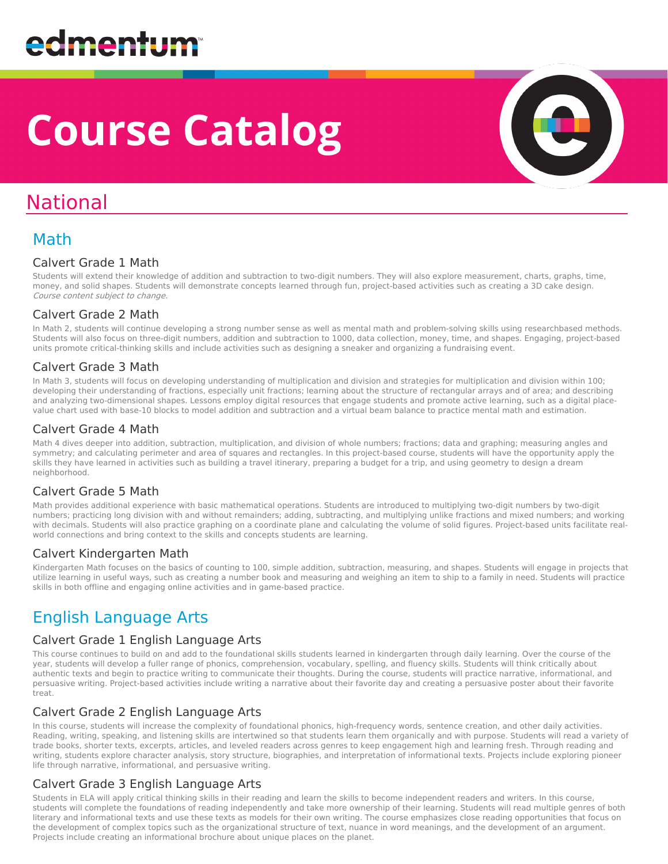# **Course Catalog**

## National

### Math

#### Calvert Grade 1 Math

Students will extend their knowledge of addition and subtraction to two-digit numbers. They will also explore measurement, charts, graphs, time, money, and solid shapes. Students will demonstrate concepts learned through fun, project-based activities such as creating a 3D cake design. Course content subject to change.

#### Calvert Grade 2 Math

In Math 2, students will continue developing a strong number sense as well as mental math and problem-solving skills using researchbased methods. Students will also focus on three-digit numbers, addition and subtraction to 1000, data collection, money, time, and shapes. Engaging, project-based units promote critical-thinking skills and include activities such as designing a sneaker and organizing a fundraising event.

#### Calvert Grade 3 Math

In Math 3, students will focus on developing understanding of multiplication and division and strategies for multiplication and division within 100; developing their understanding of fractions, especially unit fractions; learning about the structure of rectangular arrays and of area; and describing and analyzing two-dimensional shapes. Lessons employ digital resources that engage students and promote active learning, such as a digital placevalue chart used with base-10 blocks to model addition and subtraction and a virtual beam balance to practice mental math and estimation.

#### Calvert Grade 4 Math

Math 4 dives deeper into addition, subtraction, multiplication, and division of whole numbers; fractions; data and graphing; measuring angles and symmetry; and calculating perimeter and area of squares and rectangles. In this project-based course, students will have the opportunity apply the skills they have learned in activities such as building a travel itinerary, preparing a budget for a trip, and using geometry to design a dream neighborhood.

#### Calvert Grade 5 Math

Math provides additional experience with basic mathematical operations. Students are introduced to multiplying two-digit numbers by two-digit numbers; practicing long division with and without remainders; adding, subtracting, and multiplying unlike fractions and mixed numbers; and working with decimals. Students will also practice graphing on a coordinate plane and calculating the volume of solid figures. Project-based units facilitate realworld connections and bring context to the skills and concepts students are learning.

#### Calvert Kindergarten Math

Kindergarten Math focuses on the basics of counting to 100, simple addition, subtraction, measuring, and shapes. Students will engage in projects that utilize learning in useful ways, such as creating a number book and measuring and weighing an item to ship to a family in need. Students will practice skills in both offline and engaging online activities and in game-based practice.

### English Language Arts

#### Calvert Grade 1 English Language Arts

This course continues to build on and add to the foundational skills students learned in kindergarten through daily learning. Over the course of the year, students will develop a fuller range of phonics, comprehension, vocabulary, spelling, and fluency skills. Students will think critically about authentic texts and begin to practice writing to communicate their thoughts. During the course, students will practice narrative, informational, and persuasive writing. Project-based activities include writing a narrative about their favorite day and creating a persuasive poster about their favorite treat.

#### Calvert Grade 2 English Language Arts

In this course, students will increase the complexity of foundational phonics, high-frequency words, sentence creation, and other daily activities. Reading, writing, speaking, and listening skills are intertwined so that students learn them organically and with purpose. Students will read a variety of trade books, shorter texts, excerpts, articles, and leveled readers across genres to keep engagement high and learning fresh. Through reading and writing, students explore character analysis, story structure, biographies, and interpretation of informational texts. Projects include exploring pioneer life through narrative, informational, and persuasive writing.

#### Calvert Grade 3 English Language Arts

Students in ELA will apply critical thinking skills in their reading and learn the skills to become independent readers and writers. In this course, students will complete the foundations of reading independently and take more ownership of their learning. Students will read multiple genres of both literary and informational texts and use these texts as models for their own writing. The course emphasizes close reading opportunities that focus on the development of complex topics such as the organizational structure of text, nuance in word meanings, and the development of an argument. Projects include creating an informational brochure about unique places on the planet.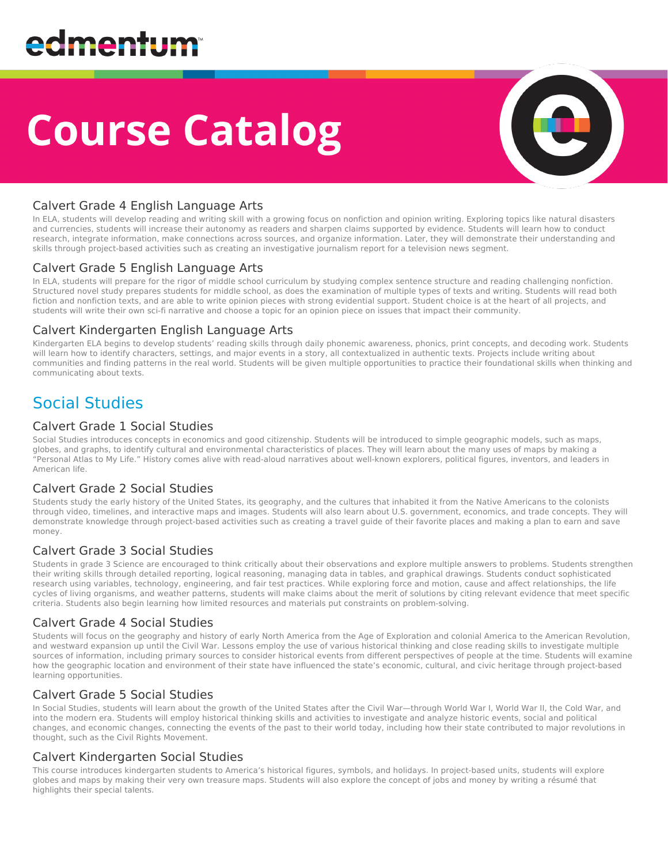# **Course Catalog**



#### Calvert Grade 4 English Language Arts

In ELA, students will develop reading and writing skill with a growing focus on nonfiction and opinion writing. Exploring topics like natural disasters and currencies, students will increase their autonomy as readers and sharpen claims supported by evidence. Students will learn how to conduct research, integrate information, make connections across sources, and organize information. Later, they will demonstrate their understanding and skills through project-based activities such as creating an investigative journalism report for a television news segment.

#### Calvert Grade 5 English Language Arts

In ELA, students will prepare for the rigor of middle school curriculum by studying complex sentence structure and reading challenging nonfiction. Structured novel study prepares students for middle school, as does the examination of multiple types of texts and writing. Students will read both fiction and nonfiction texts, and are able to write opinion pieces with strong evidential support. Student choice is at the heart of all projects, and students will write their own sci-fi narrative and choose a topic for an opinion piece on issues that impact their community.

#### Calvert Kindergarten English Language Arts

Kindergarten ELA begins to develop students' reading skills through daily phonemic awareness, phonics, print concepts, and decoding work. Students will learn how to identify characters, settings, and major events in a story, all contextualized in authentic texts. Projects include writing about communities and finding patterns in the real world. Students will be given multiple opportunities to practice their foundational skills when thinking and communicating about texts.

### Social Studies

#### Calvert Grade 1 Social Studies

Social Studies introduces concepts in economics and good citizenship. Students will be introduced to simple geographic models, such as maps, globes, and graphs, to identify cultural and environmental characteristics of places. They will learn about the many uses of maps by making a "Personal Atlas to My Life." History comes alive with read-aloud narratives about well-known explorers, political figures, inventors, and leaders in American life.

#### Calvert Grade 2 Social Studies

Students study the early history of the United States, its geography, and the cultures that inhabited it from the Native Americans to the colonists through video, timelines, and interactive maps and images. Students will also learn about U.S. government, economics, and trade concepts. They will demonstrate knowledge through project-based activities such as creating a travel guide of their favorite places and making a plan to earn and save money.

#### Calvert Grade 3 Social Studies

Students in grade 3 Science are encouraged to think critically about their observations and explore multiple answers to problems. Students strengthen their writing skills through detailed reporting, logical reasoning, managing data in tables, and graphical drawings. Students conduct sophisticated research using variables, technology, engineering, and fair test practices. While exploring force and motion, cause and affect relationships, the life cycles of living organisms, and weather patterns, students will make claims about the merit of solutions by citing relevant evidence that meet specific criteria. Students also begin learning how limited resources and materials put constraints on problem-solving.

#### Calvert Grade 4 Social Studies

Students will focus on the geography and history of early North America from the Age of Exploration and colonial America to the American Revolution, and westward expansion up until the Civil War. Lessons employ the use of various historical thinking and close reading skills to investigate multiple sources of information, including primary sources to consider historical events from different perspectives of people at the time. Students will examine how the geographic location and environment of their state have influenced the state's economic, cultural, and civic heritage through project-based learning opportunities.

#### Calvert Grade 5 Social Studies

In Social Studies, students will learn about the growth of the United States after the Civil War—through World War I, World War II, the Cold War, and into the modern era. Students will employ historical thinking skills and activities to investigate and analyze historic events, social and political changes, and economic changes, connecting the events of the past to their world today, including how their state contributed to major revolutions in thought, such as the Civil Rights Movement.

#### Calvert Kindergarten Social Studies

This course introduces kindergarten students to America's historical figures, symbols, and holidays. In project-based units, students will explore globes and maps by making their very own treasure maps. Students will also explore the concept of jobs and money by writing a résumé that highlights their special talents.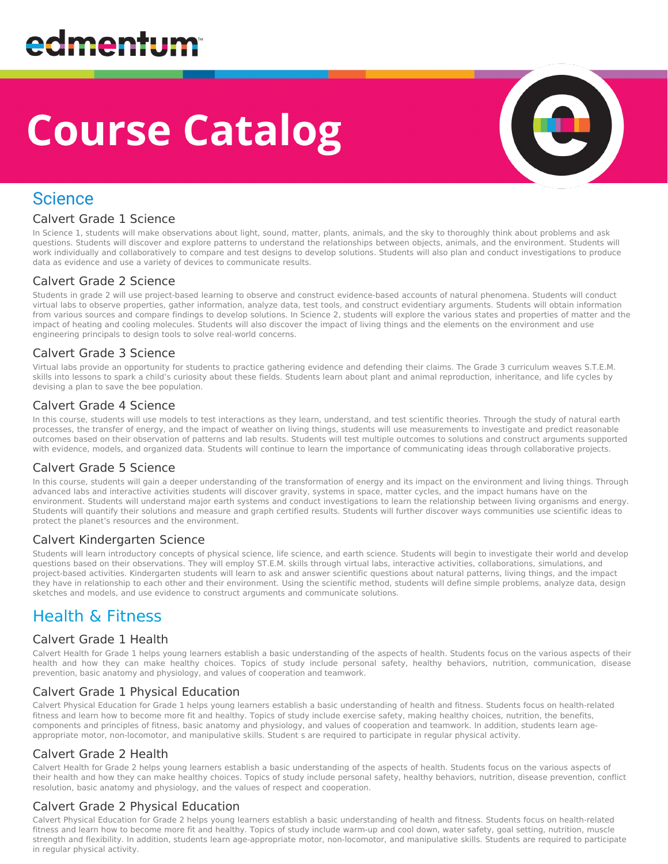# **Course Catalog**



### **Science**

#### Calvert Grade 1 Science

In Science 1, students will make observations about light, sound, matter, plants, animals, and the sky to thoroughly think about problems and ask questions. Students will discover and explore patterns to understand the relationships between objects, animals, and the environment. Students will work individually and collaboratively to compare and test designs to develop solutions. Students will also plan and conduct investigations to produce data as evidence and use a variety of devices to communicate results.

#### Calvert Grade 2 Science

Students in grade 2 will use project-based learning to observe and construct evidence-based accounts of natural phenomena. Students will conduct virtual labs to observe properties, gather information, analyze data, test tools, and construct evidentiary arguments. Students will obtain information from various sources and compare findings to develop solutions. In Science 2, students will explore the various states and properties of matter and the impact of heating and cooling molecules. Students will also discover the impact of living things and the elements on the environment and use engineering principals to design tools to solve real-world concerns.

#### Calvert Grade 3 Science

Virtual labs provide an opportunity for students to practice gathering evidence and defending their claims. The Grade 3 curriculum weaves S.T.E.M. skills into lessons to spark a child's curiosity about these fields. Students learn about plant and animal reproduction, inheritance, and life cycles by devising a plan to save the bee population.

#### Calvert Grade 4 Science

In this course, students will use models to test interactions as they learn, understand, and test scientific theories. Through the study of natural earth processes, the transfer of energy, and the impact of weather on living things, students will use measurements to investigate and predict reasonable outcomes based on their observation of patterns and lab results. Students will test multiple outcomes to solutions and construct arguments supported with evidence, models, and organized data. Students will continue to learn the importance of communicating ideas through collaborative projects.

#### Calvert Grade 5 Science

In this course, students will gain a deeper understanding of the transformation of energy and its impact on the environment and living things. Through advanced labs and interactive activities students will discover gravity, systems in space, matter cycles, and the impact humans have on the environment. Students will understand major earth systems and conduct investigations to learn the relationship between living organisms and energy. Students will quantify their solutions and measure and graph certified results. Students will further discover ways communities use scientific ideas to protect the planet's resources and the environment.

#### Calvert Kindergarten Science

Students will learn introductory concepts of physical science, life science, and earth science. Students will begin to investigate their world and develop questions based on their observations. They will employ ST.E.M. skills through virtual labs, interactive activities, collaborations, simulations, and project-based activities. Kindergarten students will learn to ask and answer scientific questions about natural patterns, living things, and the impact they have in relationship to each other and their environment. Using the scientific method, students will define simple problems, analyze data, design sketches and models, and use evidence to construct arguments and communicate solutions.

### Health & Fitness

#### Calvert Grade 1 Health

Calvert Health for Grade 1 helps young learners establish a basic understanding of the aspects of health. Students focus on the various aspects of their health and how they can make healthy choices. Topics of study include personal safety, healthy behaviors, nutrition, communication, disease prevention, basic anatomy and physiology, and values of cooperation and teamwork.

#### Calvert Grade 1 Physical Education

Calvert Physical Education for Grade 1 helps young learners establish a basic understanding of health and fitness. Students focus on health-related fitness and learn how to become more fit and healthy. Topics of study include exercise safety, making healthy choices, nutrition, the benefits, components and principles of fitness, basic anatomy and physiology, and values of cooperation and teamwork. In addition, students learn ageappropriate motor, non-locomotor, and manipulative skills. Student s are required to participate in regular physical activity.

#### Calvert Grade 2 Health

Calvert Health for Grade 2 helps young learners establish a basic understanding of the aspects of health. Students focus on the various aspects of their health and how they can make healthy choices. Topics of study include personal safety, healthy behaviors, nutrition, disease prevention, conflict resolution, basic anatomy and physiology, and the values of respect and cooperation.

#### Calvert Grade 2 Physical Education

Calvert Physical Education for Grade 2 helps young learners establish a basic understanding of health and fitness. Students focus on health-related fitness and learn how to become more fit and healthy. Topics of study include warm-up and cool down, water safety, goal setting, nutrition, muscle strength and flexibility. In addition, students learn age-appropriate motor, non-locomotor, and manipulative skills. Students are required to participate in regular physical activity.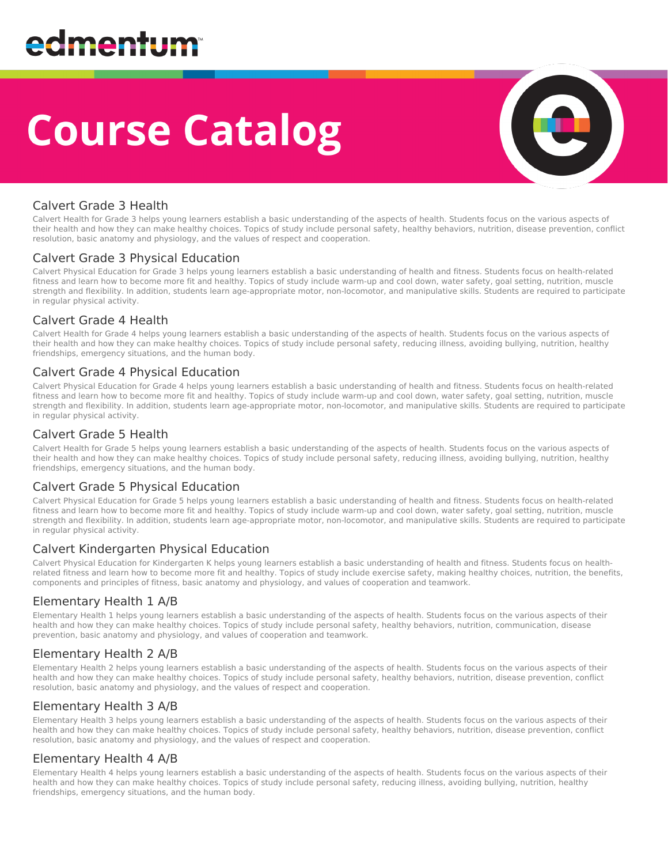# **Course Catalog**



#### Calvert Grade 3 Health

Calvert Health for Grade 3 helps young learners establish a basic understanding of the aspects of health. Students focus on the various aspects of their health and how they can make healthy choices. Topics of study include personal safety, healthy behaviors, nutrition, disease prevention, conflict resolution, basic anatomy and physiology, and the values of respect and cooperation.

#### Calvert Grade 3 Physical Education

Calvert Physical Education for Grade 3 helps young learners establish a basic understanding of health and fitness. Students focus on health-related fitness and learn how to become more fit and healthy. Topics of study include warm-up and cool down, water safety, goal setting, nutrition, muscle strength and flexibility. In addition, students learn age-appropriate motor, non-locomotor, and manipulative skills. Students are required to participate in regular physical activity.

#### Calvert Grade 4 Health

Calvert Health for Grade 4 helps young learners establish a basic understanding of the aspects of health. Students focus on the various aspects of their health and how they can make healthy choices. Topics of study include personal safety, reducing illness, avoiding bullying, nutrition, healthy friendships, emergency situations, and the human body.

#### Calvert Grade 4 Physical Education

Calvert Physical Education for Grade 4 helps young learners establish a basic understanding of health and fitness. Students focus on health-related fitness and learn how to become more fit and healthy. Topics of study include warm-up and cool down, water safety, goal setting, nutrition, muscle strength and flexibility. In addition, students learn age-appropriate motor, non-locomotor, and manipulative skills. Students are required to participate in regular physical activity.

#### Calvert Grade 5 Health

Calvert Health for Grade 5 helps young learners establish a basic understanding of the aspects of health. Students focus on the various aspects of their health and how they can make healthy choices. Topics of study include personal safety, reducing illness, avoiding bullying, nutrition, healthy friendships, emergency situations, and the human body.

#### Calvert Grade 5 Physical Education

Calvert Physical Education for Grade 5 helps young learners establish a basic understanding of health and fitness. Students focus on health-related fitness and learn how to become more fit and healthy. Topics of study include warm-up and cool down, water safety, goal setting, nutrition, muscle strength and flexibility. In addition, students learn age-appropriate motor, non-locomotor, and manipulative skills. Students are required to participate in regular physical activity.

#### Calvert Kindergarten Physical Education

Calvert Physical Education for Kindergarten K helps young learners establish a basic understanding of health and fitness. Students focus on healthrelated fitness and learn how to become more fit and healthy. Topics of study include exercise safety, making healthy choices, nutrition, the benefits, components and principles of fitness, basic anatomy and physiology, and values of cooperation and teamwork.

#### Elementary Health 1 A/B

Elementary Health 1 helps young learners establish a basic understanding of the aspects of health. Students focus on the various aspects of their health and how they can make healthy choices. Topics of study include personal safety, healthy behaviors, nutrition, communication, disease prevention, basic anatomy and physiology, and values of cooperation and teamwork.

#### Elementary Health 2 A/B

Elementary Health 2 helps young learners establish a basic understanding of the aspects of health. Students focus on the various aspects of their health and how they can make healthy choices. Topics of study include personal safety, healthy behaviors, nutrition, disease prevention, conflict resolution, basic anatomy and physiology, and the values of respect and cooperation.

#### Elementary Health 3 A/B

Elementary Health 3 helps young learners establish a basic understanding of the aspects of health. Students focus on the various aspects of their health and how they can make healthy choices. Topics of study include personal safety, healthy behaviors, nutrition, disease prevention, conflict resolution, basic anatomy and physiology, and the values of respect and cooperation.

#### Elementary Health 4 A/B

Elementary Health 4 helps young learners establish a basic understanding of the aspects of health. Students focus on the various aspects of their health and how they can make healthy choices. Topics of study include personal safety, reducing illness, avoiding bullying, nutrition, healthy friendships, emergency situations, and the human body.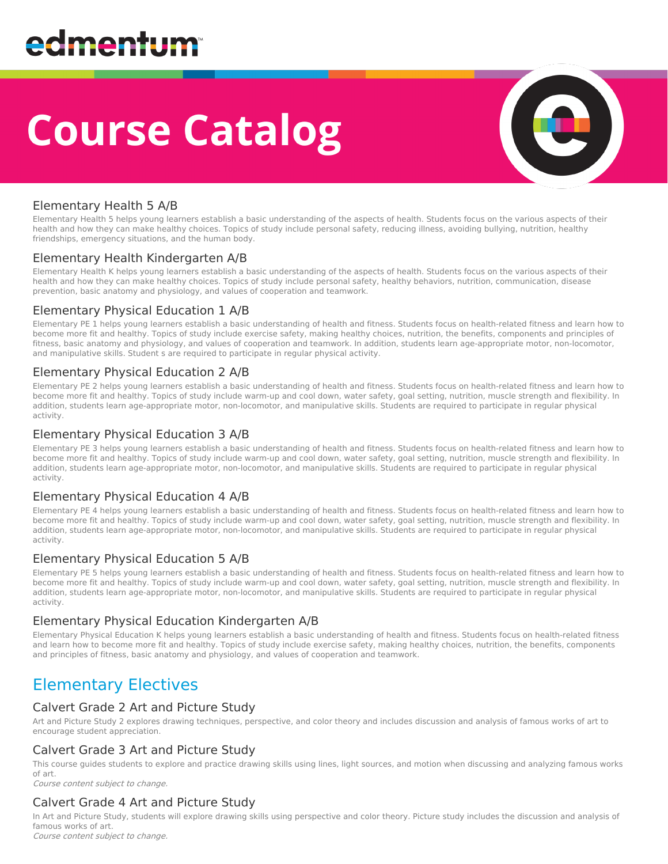# **Course Catalog**



#### Elementary Health 5 A/B

Elementary Health 5 helps young learners establish a basic understanding of the aspects of health. Students focus on the various aspects of their health and how they can make healthy choices. Topics of study include personal safety, reducing illness, avoiding bullying, nutrition, healthy friendships, emergency situations, and the human body.

#### Elementary Health Kindergarten A/B

Elementary Health K helps young learners establish a basic understanding of the aspects of health. Students focus on the various aspects of their health and how they can make healthy choices. Topics of study include personal safety, healthy behaviors, nutrition, communication, disease prevention, basic anatomy and physiology, and values of cooperation and teamwork.

#### Elementary Physical Education 1 A/B

Elementary PE 1 helps young learners establish a basic understanding of health and fitness. Students focus on health-related fitness and learn how to become more fit and healthy. Topics of study include exercise safety, making healthy choices, nutrition, the benefits, components and principles of fitness, basic anatomy and physiology, and values of cooperation and teamwork. In addition, students learn age-appropriate motor, non-locomotor, and manipulative skills. Student s are required to participate in regular physical activity.

#### Elementary Physical Education 2 A/B

Elementary PE 2 helps young learners establish a basic understanding of health and fitness. Students focus on health-related fitness and learn how to become more fit and healthy. Topics of study include warm-up and cool down, water safety, goal setting, nutrition, muscle strength and flexibility. In addition, students learn age-appropriate motor, non-locomotor, and manipulative skills. Students are required to participate in regular physical activity.

#### Elementary Physical Education 3 A/B

Elementary PE 3 helps young learners establish a basic understanding of health and fitness. Students focus on health-related fitness and learn how to become more fit and healthy. Topics of study include warm-up and cool down, water safety, goal setting, nutrition, muscle strength and flexibility. In addition, students learn age-appropriate motor, non-locomotor, and manipulative skills. Students are required to participate in regular physical activity.

#### Elementary Physical Education 4 A/B

Elementary PE 4 helps young learners establish a basic understanding of health and fitness. Students focus on health-related fitness and learn how to become more fit and healthy. Topics of study include warm-up and cool down, water safety, goal setting, nutrition, muscle strength and flexibility. In addition, students learn age-appropriate motor, non-locomotor, and manipulative skills. Students are required to participate in regular physical activity.

#### Elementary Physical Education 5 A/B

Elementary PE 5 helps young learners establish a basic understanding of health and fitness. Students focus on health-related fitness and learn how to become more fit and healthy. Topics of study include warm-up and cool down, water safety, goal setting, nutrition, muscle strength and flexibility. In addition, students learn age-appropriate motor, non-locomotor, and manipulative skills. Students are required to participate in regular physical activity.

#### Elementary Physical Education Kindergarten A/B

Elementary Physical Education K helps young learners establish a basic understanding of health and fitness. Students focus on health-related fitness and learn how to become more fit and healthy. Topics of study include exercise safety, making healthy choices, nutrition, the benefits, components and principles of fitness, basic anatomy and physiology, and values of cooperation and teamwork.

### Elementary Electives

#### Calvert Grade 2 Art and Picture Study

Art and Picture Study 2 explores drawing techniques, perspective, and color theory and includes discussion and analysis of famous works of art to encourage student appreciation.

#### Calvert Grade 3 Art and Picture Study

This course guides students to explore and practice drawing skills using lines, light sources, and motion when discussing and analyzing famous works of art.

Course content subject to change.

#### Calvert Grade 4 Art and Picture Study

In Art and Picture Study, students will explore drawing skills using perspective and color theory. Picture study includes the discussion and analysis of famous works of art. Course content subject to change.